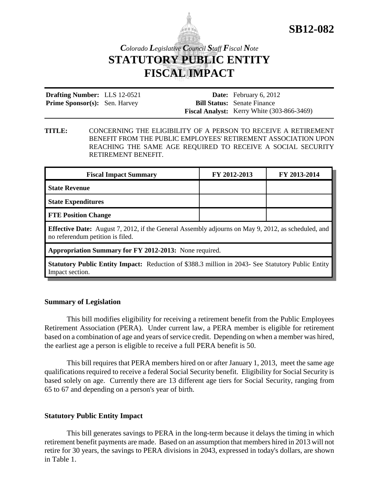

## *Colorado Legislative Council Staff Fiscal Note* **STATUTORY PUBLIC ENTITY FISCAL IMPACT**

| <b>Drafting Number:</b> LLS 12-0521  |  | <b>Date:</b> February 6, 2012                     |
|--------------------------------------|--|---------------------------------------------------|
| <b>Prime Sponsor(s):</b> Sen. Harvey |  | <b>Bill Status:</b> Senate Finance                |
|                                      |  | <b>Fiscal Analyst:</b> Kerry White (303-866-3469) |

**TITLE:** CONCERNING THE ELIGIBILITY OF A PERSON TO RECEIVE A RETIREMENT BENEFIT FROM THE PUBLIC EMPLOYEES' RETIREMENT ASSOCIATION UPON REACHING THE SAME AGE REQUIRED TO RECEIVE A SOCIAL SECURITY RETIREMENT BENEFIT.

| <b>Fiscal Impact Summary</b>                                                                                                                  | FY 2012-2013 | FY 2013-2014 |  |  |
|-----------------------------------------------------------------------------------------------------------------------------------------------|--------------|--------------|--|--|
| <b>State Revenue</b>                                                                                                                          |              |              |  |  |
| <b>State Expenditures</b>                                                                                                                     |              |              |  |  |
| <b>FTE Position Change</b>                                                                                                                    |              |              |  |  |
| <b>Effective Date:</b> August 7, 2012, if the General Assembly adjourns on May 9, 2012, as scheduled, and<br>no referendum petition is filed. |              |              |  |  |
| Appropriation Summary for FY 2012-2013: None required.                                                                                        |              |              |  |  |

**Statutory Public Entity Impact:** Reduction of \$388.3 million in 2043- See Statutory Public Entity Impact section.

## **Summary of Legislation**

This bill modifies eligibility for receiving a retirement benefit from the Public Employees Retirement Association (PERA). Under current law, a PERA member is eligible for retirement based on a combination of age and years of service credit. Depending on when a member was hired, the earliest age a person is eligible to receive a full PERA benefit is 50.

This bill requires that PERA members hired on or after January 1, 2013, meet the same age qualifications required to receive a federal Social Security benefit. Eligibility for Social Security is based solely on age. Currently there are 13 different age tiers for Social Security, ranging from 65 to 67 and depending on a person's year of birth.

## **Statutory Public Entity Impact**

This bill generates savings to PERA in the long-term because it delays the timing in which retirement benefit payments are made. Based on an assumption that members hired in 2013 will not retire for 30 years, the savings to PERA divisions in 2043, expressed in today's dollars, are shown in Table 1.